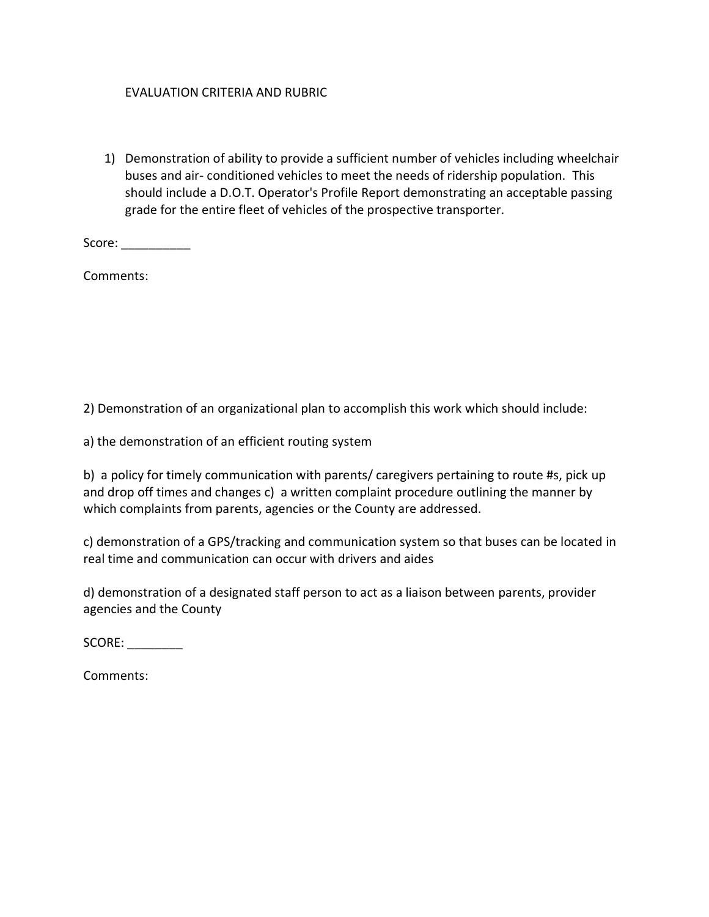## EVALUATION CRITERIA AND RUBRIC

1) Demonstration of ability to provide a sufficient number of vehicles including wheelchair buses and air- conditioned vehicles to meet the needs of ridership population. This should include a D.O.T. Operator's Profile Report demonstrating an acceptable passing grade for the entire fleet of vehicles of the prospective transporter.

Score: \_\_\_\_\_\_\_\_\_\_\_\_

Comments:

2) Demonstration of an organizational plan to accomplish this work which should include:

a) the demonstration of an efficient routing system

b) a policy for timely communication with parents/ caregivers pertaining to route #s, pick up and drop off times and changes c) a written complaint procedure outlining the manner by which complaints from parents, agencies or the County are addressed.

c) demonstration of a GPS/tracking and communication system so that buses can be located in real time and communication can occur with drivers and aides

d) demonstration of a designated staff person to act as a liaison between parents, provider agencies and the County

SCORE:

Comments: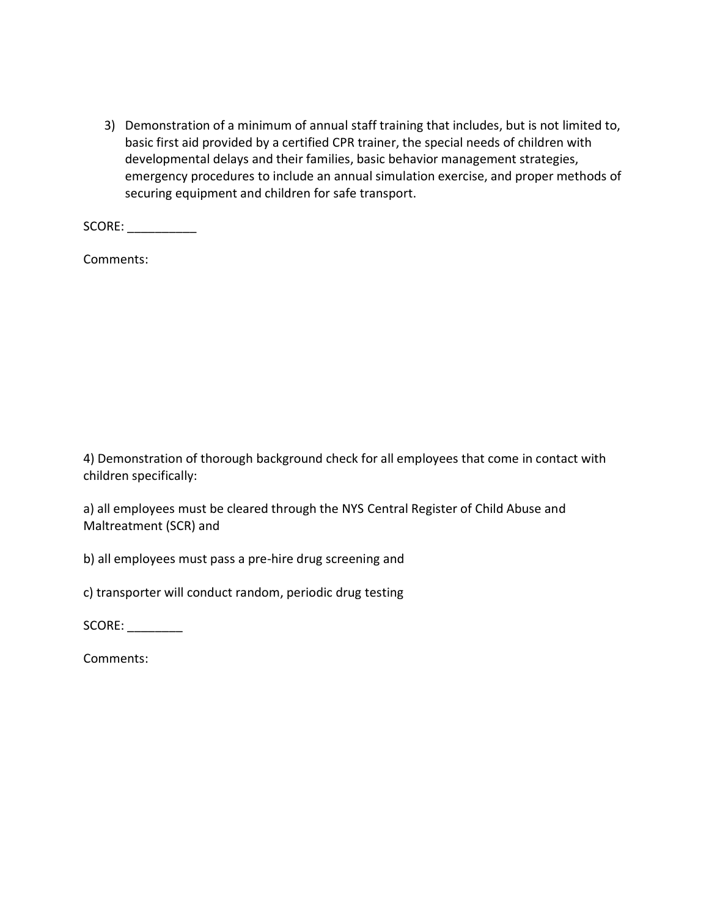3) Demonstration of a minimum of annual staff training that includes, but is not limited to, basic first aid provided by a certified CPR trainer, the special needs of children with developmental delays and their families, basic behavior management strategies, emergency procedures to include an annual simulation exercise, and proper methods of securing equipment and children for safe transport.

SCORE:

Comments:

4) Demonstration of thorough background check for all employees that come in contact with children specifically:

a) all employees must be cleared through the NYS Central Register of Child Abuse and Maltreatment (SCR) and

b) all employees must pass a pre-hire drug screening and

c) transporter will conduct random, periodic drug testing

SCORE:

Comments: